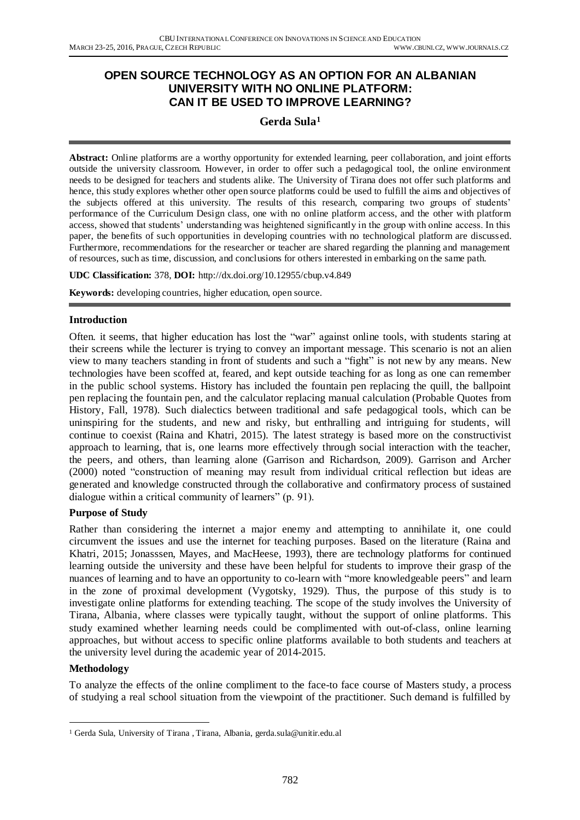### **OPEN SOURCE TECHNOLOGY AS AN OPTION FOR AN ALBANIAN UNIVERSITY WITH NO ONLINE PLATFORM: CAN IT BE USED TO IMPROVE LEARNING?**

# **Gerda Sula<sup>1</sup>**

**Abstract:** Online platforms are a worthy opportunity for extended learning, peer collaboration, and joint efforts outside the university classroom. However, in order to offer such a pedagogical tool, the online environment needs to be designed for teachers and students alike. The University of Tirana does not offer such platforms and hence, this study explores whether other open source platforms could be used to fulfill the aims and objectives of the subjects offered at this university. The results of this research, comparing two groups of students' performance of the Curriculum Design class, one with no online platform access, and the other with platform access, showed that students' understanding was heightened significantly in the group with online access. In this paper, the benefits of such opportunities in developing countries with no technological platform are discuss ed. Furthermore, recommendations for the researcher or teacher are shared regarding the planning and management of resources, such as time, discussion, and conclusions for others interested in embarking on the same path.

**UDC Classification:** 378, **DOI:** http://dx.doi.org/10.12955/cbup.v4.849

**Keywords:** developing countries, higher education, open source.

#### **Introduction**

Often. it seems, that higher education has lost the "war" against online tools, with students staring at their screens while the lecturer is trying to convey an important message. This scenario is not an alien view to many teachers standing in front of students and such a "fight" is not new by any means. New technologies have been scoffed at, feared, and kept outside teaching for as long as one can remember in the public school systems. History has included the fountain pen replacing the quill, the ballpoint pen replacing the fountain pen, and the calculator replacing manual calculation (Probable Quotes from History, Fall, 1978). Such dialectics between traditional and safe pedagogical tools, which can be uninspiring for the students, and new and risky, but enthralling and intriguing for students, will continue to coexist (Raina and Khatri, 2015). The latest strategy is based more on the constructivist approach to learning, that is, one learns more effectively through social interaction with the teacher, the peers, and others, than learning alone (Garrison and Richardson, 2009). Garrison and Archer (2000) noted "construction of meaning may result from individual critical reflection but ideas are generated and knowledge constructed through the collaborative and confirmatory process of sustained dialogue within a critical community of learners" (p. 91).

#### **Purpose of Study**

Rather than considering the internet a major enemy and attempting to annihilate it, one could circumvent the issues and use the internet for teaching purposes. Based on the literature (Raina and Khatri, 2015; Jonasssen, Mayes, and MacHeese, 1993), there are technology platforms for continued learning outside the university and these have been helpful for students to improve their grasp of the nuances of learning and to have an opportunity to co-learn with "more knowledgeable peers" and learn in the zone of proximal development (Vygotsky, 1929). Thus, the purpose of this study is to investigate online platforms for extending teaching. The scope of the study involves the University of Tirana, Albania, where classes were typically taught, without the support of online platforms. This study examined whether learning needs could be complimented with out-of-class, online learning approaches, but without access to specific online platforms available to both students and teachers at the university level during the academic year of 2014-2015.

#### **Methodology**

 $\overline{a}$ 

To analyze the effects of the online compliment to the face-to face course of Masters study, a process of studying a real school situation from the viewpoint of the practitioner. Such demand is fulfilled by

<sup>&</sup>lt;sup>1</sup> Gerda Sula, University of Tirana, Tirana, Albania, gerda.sula@unitir.edu.al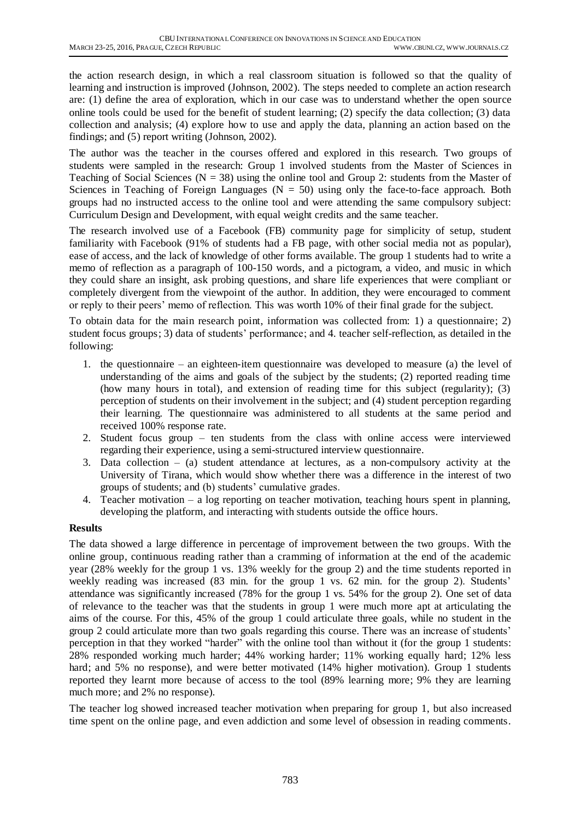the action research design, in which a real classroom situation is followed so that the quality of learning and instruction is improved (Johnson, 2002). The steps needed to complete an action research are: (1) define the area of exploration, which in our case was to understand whether the open source online tools could be used for the benefit of student learning; (2) specify the data collection; (3) data collection and analysis; (4) explore how to use and apply the data, planning an action based on the findings; and (5) report writing (Johnson, 2002).

The author was the teacher in the courses offered and explored in this research. Two groups of students were sampled in the research: Group 1 involved students from the Master of Sciences in Teaching of Social Sciences ( $N = 38$ ) using the online tool and Group 2: students from the Master of Sciences in Teaching of Foreign Languages ( $N = 50$ ) using only the face-to-face approach. Both groups had no instructed access to the online tool and were attending the same compulsory subject: Curriculum Design and Development, with equal weight credits and the same teacher.

The research involved use of a Facebook (FB) community page for simplicity of setup, student familiarity with Facebook (91% of students had a FB page, with other social media not as popular), ease of access, and the lack of knowledge of other forms available. The group 1 students had to write a memo of reflection as a paragraph of 100-150 words, and a pictogram, a video, and music in which they could share an insight, ask probing questions, and share life experiences that were compliant or completely divergent from the viewpoint of the author. In addition, they were encouraged to comment or reply to their peers' memo of reflection. This was worth 10% of their final grade for the subject.

To obtain data for the main research point, information was collected from: 1) a questionnaire; 2) student focus groups; 3) data of students' performance; and 4. teacher self-reflection, as detailed in the following:

- 1. the questionnaire an eighteen-item questionnaire was developed to measure (a) the level of understanding of the aims and goals of the subject by the students; (2) reported reading time (how many hours in total), and extension of reading time for this subject (regularity); (3) perception of students on their involvement in the subject; and (4) student perception regarding their learning. The questionnaire was administered to all students at the same period and received 100% response rate.
- 2. Student focus group ten students from the class with online access were interviewed regarding their experience, using a semi-structured interview questionnaire.
- 3. Data collection (a) student attendance at lectures, as a non-compulsory activity at the University of Tirana, which would show whether there was a difference in the interest of two groups of students; and (b) students' cumulative grades.
- 4. Teacher motivation a log reporting on teacher motivation, teaching hours spent in planning, developing the platform, and interacting with students outside the office hours.

# **Results**

The data showed a large difference in percentage of improvement between the two groups. With the online group, continuous reading rather than a cramming of information at the end of the academic year (28% weekly for the group 1 vs. 13% weekly for the group 2) and the time students reported in weekly reading was increased (83 min. for the group 1 vs. 62 min. for the group 2). Students' attendance was significantly increased (78% for the group 1 vs. 54% for the group 2). One set of data of relevance to the teacher was that the students in group 1 were much more apt at articulating the aims of the course. For this, 45% of the group 1 could articulate three goals, while no student in the group 2 could articulate more than two goals regarding this course. There was an increase of students' perception in that they worked "harder" with the online tool than without it (for the group 1 students: 28% responded working much harder; 44% working harder; 11% working equally hard; 12% less hard; and 5% no response), and were better motivated (14% higher motivation). Group 1 students reported they learnt more because of access to the tool (89% learning more; 9% they are learning much more; and 2% no response).

The teacher log showed increased teacher motivation when preparing for group 1, but also increased time spent on the online page, and even addiction and some level of obsession in reading comments.